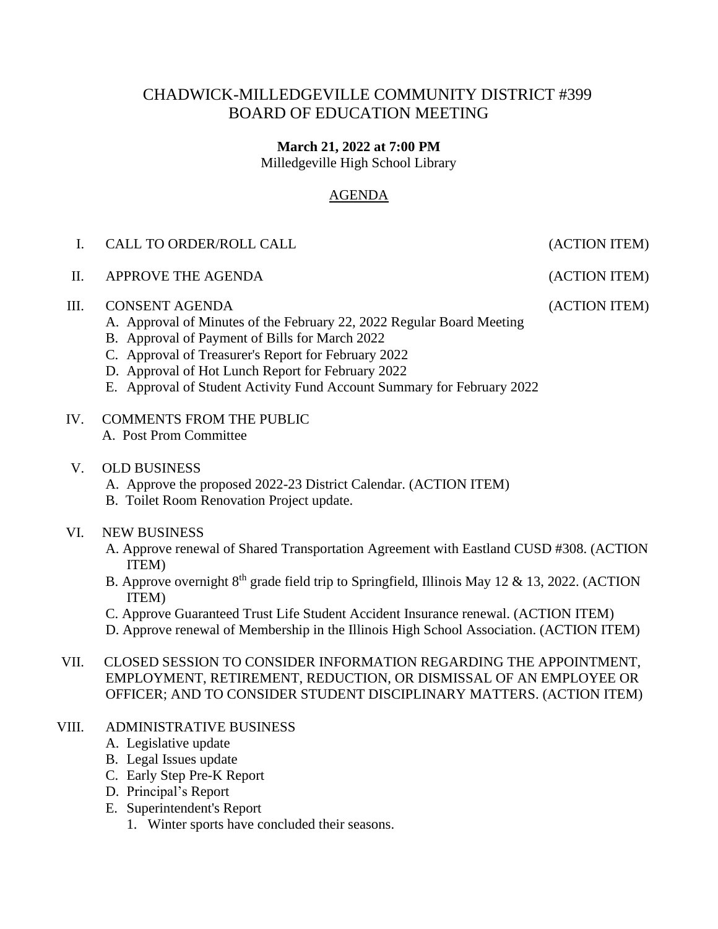# CHADWICK-MILLEDGEVILLE COMMUNITY DISTRICT #399 BOARD OF EDUCATION MEETING

#### **March 21, 2022 at 7:00 PM**

Milledgeville High School Library

#### AGENDA

| CALL TO ORDER/ROLL CALL |
|-------------------------|
|                         |

### II. APPROVE THE AGENDA (ACTION ITEM)

#### III. CONSENT AGENDA (ACTION ITEM)

- A. Approval of Minutes of the February 22, 2022 Regular Board Meeting
- B. Approval of Payment of Bills for March 2022
- C. Approval of Treasurer's Report for February 2022
- D. Approval of Hot Lunch Report for February 2022
- E. Approval of Student Activity Fund Account Summary for February 2022
- IV. COMMENTS FROM THE PUBLIC A. Post Prom Committee
- V. OLD BUSINESS
	- A. Approve the proposed 2022-23 District Calendar. (ACTION ITEM)
	- B. Toilet Room Renovation Project update.

#### VI. NEW BUSINESS

- A. Approve renewal of Shared Transportation Agreement with Eastland CUSD #308. (ACTION ITEM)
- B. Approve overnight  $8<sup>th</sup>$  grade field trip to Springfield, Illinois May 12 & 13, 2022. (ACTION ITEM)
- C. Approve Guaranteed Trust Life Student Accident Insurance renewal. (ACTION ITEM)
- D. Approve renewal of Membership in the Illinois High School Association. (ACTION ITEM)
- VII. CLOSED SESSION TO CONSIDER INFORMATION REGARDING THE APPOINTMENT, EMPLOYMENT, RETIREMENT, REDUCTION, OR DISMISSAL OF AN EMPLOYEE OR OFFICER; AND TO CONSIDER STUDENT DISCIPLINARY MATTERS. (ACTION ITEM)

#### VIII. ADMINISTRATIVE BUSINESS

- A. Legislative update
- B. Legal Issues update
- C. Early Step Pre-K Report
- D. Principal's Report
- E. Superintendent's Report
	- 1. Winter sports have concluded their seasons.

(ACTION ITEM)